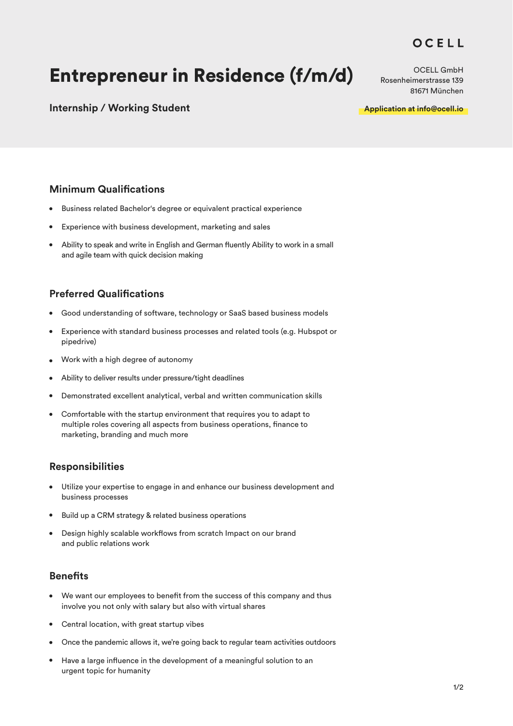## OCELL

# Entrepreneur in Residence (f/m/d)

**Internship / Working Student**

OCELL GmbH Rosenheimerstrasse 139 81671 München

**Application at info@ocell.io**

### **Minimum Qualifications**

- $\bullet$ Business related Bachelor's degree or equivalent practical experience
- Experience with business development, marketing and sales
- Ability to speak and write in English and German fluently Ability to work in a small and agile team with quick decision making

### **Preferred Qualifications**

- Good understanding of software, technology or SaaS based business models  $\bullet$
- Experience with standard business processes and related tools (e.g. Hubspot or pipedrive)
- Work with a high degree of autonomy
- Ability to deliver results under pressure/tight deadlines  $\bullet$
- Demonstrated excellent analytical, verbal and written communication skills  $\bullet$
- Comfortable with the startup environment that requires you to adapt to multiple roles covering all aspects from business operations, finance to marketing, branding and much more

### **Responsibilities**

- Utilize your expertise to engage in and enhance our business development and business processes
- Build up a CRM strategy & related business operations
- Design highly scalable workflows from scratch Impact on our brand and public relations work

### **Benefits**

- We want our employees to benefit from the success of this company and thus involve you not only with salary but also with virtual shares
- Central location, with great startup vibes
- Once the pandemic allows it, we're going back to regular team activities outdoors
- Have a large influence in the development of a meaningful solution to an urgent topic for humanity